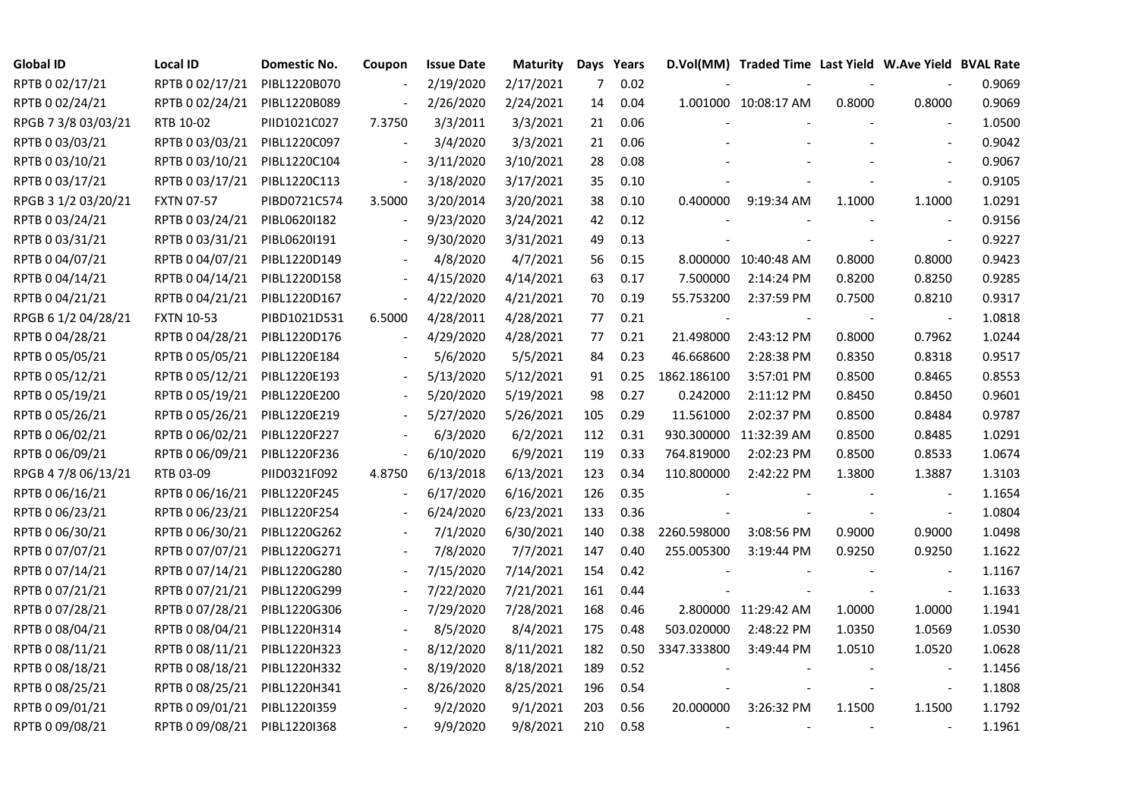| <b>Global ID</b>    | <b>Local ID</b>   | Domestic No. | Coupon                   | <b>Issue Date</b> | <b>Maturity</b> |                | Days Years |             | D.Vol(MM) Traded Time Last Yield W.Ave Yield BVAL Rate |        |                          |        |
|---------------------|-------------------|--------------|--------------------------|-------------------|-----------------|----------------|------------|-------------|--------------------------------------------------------|--------|--------------------------|--------|
| RPTB 0 02/17/21     | RPTB 0 02/17/21   | PIBL1220B070 |                          | 2/19/2020         | 2/17/2021       | $\overline{7}$ | 0.02       |             |                                                        |        |                          | 0.9069 |
| RPTB 0 02/24/21     | RPTB 0 02/24/21   | PIBL1220B089 |                          | 2/26/2020         | 2/24/2021       | 14             | 0.04       |             | 1.001000 10:08:17 AM                                   | 0.8000 | 0.8000                   | 0.9069 |
| RPGB 7 3/8 03/03/21 | RTB 10-02         | PIID1021C027 | 7.3750                   | 3/3/2011          | 3/3/2021        | 21             | 0.06       |             |                                                        |        |                          | 1.0500 |
| RPTB 0 03/03/21     | RPTB 0 03/03/21   | PIBL1220C097 |                          | 3/4/2020          | 3/3/2021        | 21             | 0.06       |             |                                                        |        |                          | 0.9042 |
| RPTB 0 03/10/21     | RPTB 0 03/10/21   | PIBL1220C104 | $\frac{1}{2}$            | 3/11/2020         | 3/10/2021       | 28             | 0.08       |             |                                                        |        |                          | 0.9067 |
| RPTB 0 03/17/21     | RPTB 0 03/17/21   | PIBL1220C113 |                          | 3/18/2020         | 3/17/2021       | 35             | 0.10       |             |                                                        |        |                          | 0.9105 |
| RPGB 3 1/2 03/20/21 | <b>FXTN 07-57</b> | PIBD0721C574 | 3.5000                   | 3/20/2014         | 3/20/2021       | 38             | 0.10       | 0.400000    | 9:19:34 AM                                             | 1.1000 | 1.1000                   | 1.0291 |
| RPTB 0 03/24/21     | RPTB 0 03/24/21   | PIBL06201182 |                          | 9/23/2020         | 3/24/2021       | 42             | 0.12       |             |                                                        |        | $\sim$                   | 0.9156 |
| RPTB 0 03/31/21     | RPTB 0 03/31/21   | PIBL0620I191 |                          | 9/30/2020         | 3/31/2021       | 49             | 0.13       |             |                                                        |        |                          | 0.9227 |
| RPTB 0 04/07/21     | RPTB 0 04/07/21   | PIBL1220D149 |                          | 4/8/2020          | 4/7/2021        | 56             | 0.15       |             | 8.000000 10:40:48 AM                                   | 0.8000 | 0.8000                   | 0.9423 |
| RPTB 0 04/14/21     | RPTB 0 04/14/21   | PIBL1220D158 | $\overline{\phantom{a}}$ | 4/15/2020         | 4/14/2021       | 63             | 0.17       | 7.500000    | 2:14:24 PM                                             | 0.8200 | 0.8250                   | 0.9285 |
| RPTB 0 04/21/21     | RPTB 0 04/21/21   | PIBL1220D167 | $\frac{1}{2}$            | 4/22/2020         | 4/21/2021       | 70             | 0.19       | 55.753200   | 2:37:59 PM                                             | 0.7500 | 0.8210                   | 0.9317 |
| RPGB 6 1/2 04/28/21 | <b>FXTN 10-53</b> | PIBD1021D531 | 6.5000                   | 4/28/2011         | 4/28/2021       | 77             | 0.21       |             |                                                        |        | $\overline{\phantom{a}}$ | 1.0818 |
| RPTB 0 04/28/21     | RPTB 0 04/28/21   | PIBL1220D176 |                          | 4/29/2020         | 4/28/2021       | 77             | 0.21       | 21.498000   | 2:43:12 PM                                             | 0.8000 | 0.7962                   | 1.0244 |
| RPTB 0 05/05/21     | RPTB 0 05/05/21   | PIBL1220E184 |                          | 5/6/2020          | 5/5/2021        | 84             | 0.23       | 46.668600   | 2:28:38 PM                                             | 0.8350 | 0.8318                   | 0.9517 |
| RPTB 0 05/12/21     | RPTB 0 05/12/21   | PIBL1220E193 |                          | 5/13/2020         | 5/12/2021       | 91             | 0.25       | 1862.186100 | 3:57:01 PM                                             | 0.8500 | 0.8465                   | 0.8553 |
| RPTB 0 05/19/21     | RPTB 0 05/19/21   | PIBL1220E200 |                          | 5/20/2020         | 5/19/2021       | 98             | 0.27       | 0.242000    | 2:11:12 PM                                             | 0.8450 | 0.8450                   | 0.9601 |
| RPTB 0 05/26/21     | RPTB 0 05/26/21   | PIBL1220E219 |                          | 5/27/2020         | 5/26/2021       | 105            | 0.29       | 11.561000   | 2:02:37 PM                                             | 0.8500 | 0.8484                   | 0.9787 |
| RPTB 0 06/02/21     | RPTB 0 06/02/21   | PIBL1220F227 |                          | 6/3/2020          | 6/2/2021        | 112            | 0.31       | 930.300000  | 11:32:39 AM                                            | 0.8500 | 0.8485                   | 1.0291 |
| RPTB 0 06/09/21     | RPTB 0 06/09/21   | PIBL1220F236 |                          | 6/10/2020         | 6/9/2021        | 119            | 0.33       | 764.819000  | 2:02:23 PM                                             | 0.8500 | 0.8533                   | 1.0674 |
| RPGB 4 7/8 06/13/21 | RTB 03-09         | PIID0321F092 | 4.8750                   | 6/13/2018         | 6/13/2021       | 123            | 0.34       | 110.800000  | 2:42:22 PM                                             | 1.3800 | 1.3887                   | 1.3103 |
| RPTB 0 06/16/21     | RPTB 0 06/16/21   | PIBL1220F245 |                          | 6/17/2020         | 6/16/2021       | 126            | 0.35       |             |                                                        |        |                          | 1.1654 |
| RPTB 0 06/23/21     | RPTB 0 06/23/21   | PIBL1220F254 |                          | 6/24/2020         | 6/23/2021       | 133            | 0.36       |             |                                                        |        |                          | 1.0804 |
| RPTB 0 06/30/21     | RPTB 0 06/30/21   | PIBL1220G262 |                          | 7/1/2020          | 6/30/2021       | 140            | 0.38       | 2260.598000 | 3:08:56 PM                                             | 0.9000 | 0.9000                   | 1.0498 |
| RPTB 0 07/07/21     | RPTB 0 07/07/21   | PIBL1220G271 |                          | 7/8/2020          | 7/7/2021        | 147            | 0.40       | 255.005300  | 3:19:44 PM                                             | 0.9250 | 0.9250                   | 1.1622 |
| RPTB 0 07/14/21     | RPTB 0 07/14/21   | PIBL1220G280 |                          | 7/15/2020         | 7/14/2021       | 154            | 0.42       |             |                                                        |        | $\sim$                   | 1.1167 |
| RPTB 0 07/21/21     | RPTB 0 07/21/21   | PIBL1220G299 |                          | 7/22/2020         | 7/21/2021       | 161            | 0.44       |             |                                                        |        |                          | 1.1633 |
| RPTB 0 07/28/21     | RPTB 0 07/28/21   | PIBL1220G306 |                          | 7/29/2020         | 7/28/2021       | 168            | 0.46       |             | 2.800000 11:29:42 AM                                   | 1.0000 | 1.0000                   | 1.1941 |
| RPTB 0 08/04/21     | RPTB 0 08/04/21   | PIBL1220H314 |                          | 8/5/2020          | 8/4/2021        | 175            | 0.48       | 503.020000  | 2:48:22 PM                                             | 1.0350 | 1.0569                   | 1.0530 |
| RPTB 0 08/11/21     | RPTB 0 08/11/21   | PIBL1220H323 |                          | 8/12/2020         | 8/11/2021       | 182            | 0.50       | 3347.333800 | 3:49:44 PM                                             | 1.0510 | 1.0520                   | 1.0628 |
| RPTB 0 08/18/21     | RPTB 0 08/18/21   | PIBL1220H332 |                          | 8/19/2020         | 8/18/2021       | 189            | 0.52       |             |                                                        |        |                          | 1.1456 |
| RPTB 0 08/25/21     | RPTB 0 08/25/21   | PIBL1220H341 |                          | 8/26/2020         | 8/25/2021       | 196            | 0.54       |             |                                                        |        | $\overline{\phantom{a}}$ | 1.1808 |
| RPTB 0 09/01/21     | RPTB 0 09/01/21   | PIBL1220I359 |                          | 9/2/2020          | 9/1/2021        | 203            | 0.56       | 20.000000   | 3:26:32 PM                                             | 1.1500 | 1.1500                   | 1.1792 |
| RPTB 0 09/08/21     | RPTB 0 09/08/21   | PIBL1220I368 |                          | 9/9/2020          | 9/8/2021        | 210            | 0.58       |             |                                                        |        |                          | 1.1961 |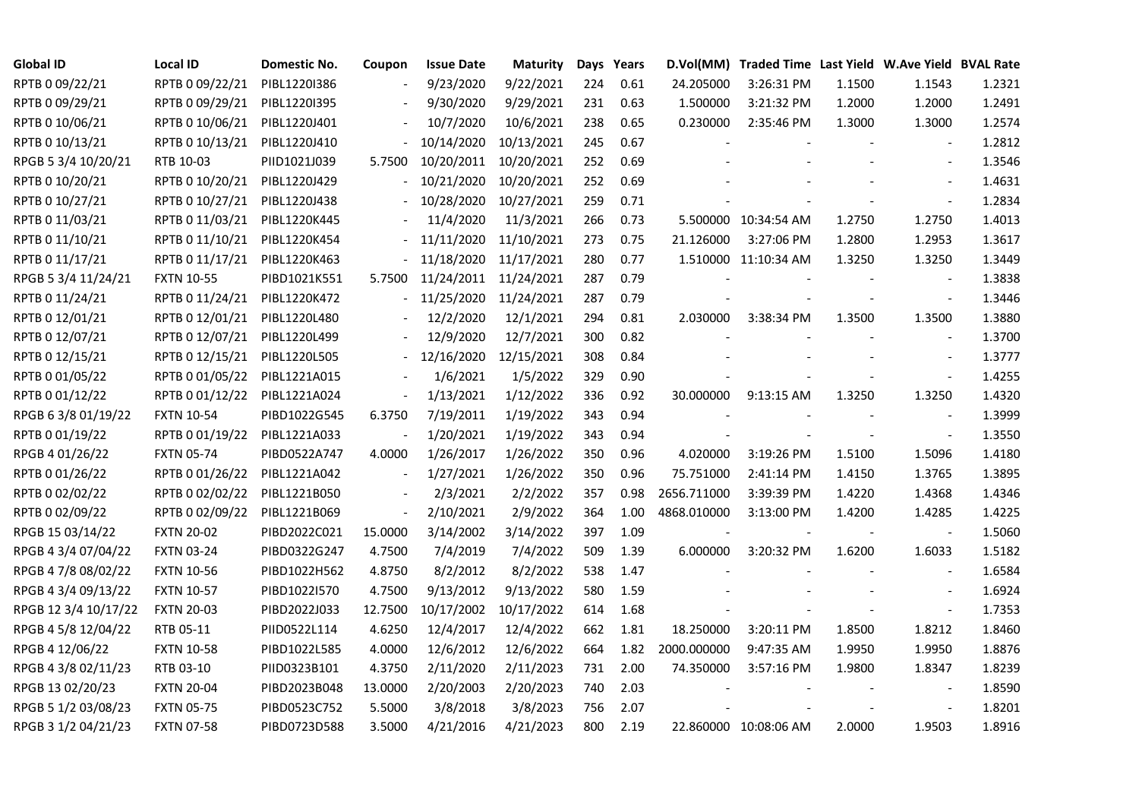| <b>Global ID</b>     | <b>Local ID</b>   | Domestic No. | Coupon                   | <b>Issue Date</b> | <b>Maturity</b> |     | Days Years |             | D.Vol(MM) Traded Time Last Yield W.Ave Yield BVAL Rate |        |                          |        |
|----------------------|-------------------|--------------|--------------------------|-------------------|-----------------|-----|------------|-------------|--------------------------------------------------------|--------|--------------------------|--------|
| RPTB 0 09/22/21      | RPTB 0 09/22/21   | PIBL12201386 |                          | 9/23/2020         | 9/22/2021       | 224 | 0.61       | 24.205000   | 3:26:31 PM                                             | 1.1500 | 1.1543                   | 1.2321 |
| RPTB 0 09/29/21      | RPTB 0 09/29/21   | PIBL1220I395 |                          | 9/30/2020         | 9/29/2021       | 231 | 0.63       | 1.500000    | 3:21:32 PM                                             | 1.2000 | 1.2000                   | 1.2491 |
| RPTB 0 10/06/21      | RPTB 0 10/06/21   | PIBL1220J401 |                          | 10/7/2020         | 10/6/2021       | 238 | 0.65       | 0.230000    | 2:35:46 PM                                             | 1.3000 | 1.3000                   | 1.2574 |
| RPTB 0 10/13/21      | RPTB 0 10/13/21   | PIBL1220J410 |                          | 10/14/2020        | 10/13/2021      | 245 | 0.67       |             |                                                        |        | $\overline{\phantom{a}}$ | 1.2812 |
| RPGB 5 3/4 10/20/21  | RTB 10-03         | PIID1021J039 | 5.7500                   | 10/20/2011        | 10/20/2021      | 252 | 0.69       |             |                                                        |        | $\overline{\phantom{a}}$ | 1.3546 |
| RPTB 0 10/20/21      | RPTB 0 10/20/21   | PIBL1220J429 |                          | 10/21/2020        | 10/20/2021      | 252 | 0.69       |             |                                                        |        | $\frac{1}{2}$            | 1.4631 |
| RPTB 0 10/27/21      | RPTB 0 10/27/21   | PIBL1220J438 |                          | 10/28/2020        | 10/27/2021      | 259 | 0.71       |             |                                                        |        | $\overline{\phantom{a}}$ | 1.2834 |
| RPTB 0 11/03/21      | RPTB 0 11/03/21   | PIBL1220K445 |                          | 11/4/2020         | 11/3/2021       | 266 | 0.73       |             | 5.500000 10:34:54 AM                                   | 1.2750 | 1.2750                   | 1.4013 |
| RPTB 0 11/10/21      | RPTB 0 11/10/21   | PIBL1220K454 |                          | 11/11/2020        | 11/10/2021      | 273 | 0.75       | 21.126000   | 3:27:06 PM                                             | 1.2800 | 1.2953                   | 1.3617 |
| RPTB 0 11/17/21      | RPTB 0 11/17/21   | PIBL1220K463 |                          | 11/18/2020        | 11/17/2021      | 280 | 0.77       |             | 1.510000 11:10:34 AM                                   | 1.3250 | 1.3250                   | 1.3449 |
| RPGB 5 3/4 11/24/21  | <b>FXTN 10-55</b> | PIBD1021K551 | 5.7500                   | 11/24/2011        | 11/24/2021      | 287 | 0.79       |             |                                                        |        |                          | 1.3838 |
| RPTB 0 11/24/21      | RPTB 0 11/24/21   | PIBL1220K472 |                          | 11/25/2020        | 11/24/2021      | 287 | 0.79       |             |                                                        |        | $\blacksquare$           | 1.3446 |
| RPTB 0 12/01/21      | RPTB 0 12/01/21   | PIBL1220L480 |                          | 12/2/2020         | 12/1/2021       | 294 | 0.81       | 2.030000    | 3:38:34 PM                                             | 1.3500 | 1.3500                   | 1.3880 |
| RPTB 0 12/07/21      | RPTB 0 12/07/21   | PIBL1220L499 |                          | 12/9/2020         | 12/7/2021       | 300 | 0.82       |             |                                                        |        | $\blacksquare$           | 1.3700 |
| RPTB 0 12/15/21      | RPTB 0 12/15/21   | PIBL1220L505 |                          | 12/16/2020        | 12/15/2021      | 308 | 0.84       |             |                                                        |        | $\blacksquare$           | 1.3777 |
| RPTB 0 01/05/22      | RPTB 0 01/05/22   | PIBL1221A015 |                          | 1/6/2021          | 1/5/2022        | 329 | 0.90       |             |                                                        |        |                          | 1.4255 |
| RPTB 0 01/12/22      | RPTB 0 01/12/22   | PIBL1221A024 | $\overline{\phantom{a}}$ | 1/13/2021         | 1/12/2022       | 336 | 0.92       | 30.000000   | 9:13:15 AM                                             | 1.3250 | 1.3250                   | 1.4320 |
| RPGB 63/8 01/19/22   | <b>FXTN 10-54</b> | PIBD1022G545 | 6.3750                   | 7/19/2011         | 1/19/2022       | 343 | 0.94       |             |                                                        |        |                          | 1.3999 |
| RPTB 0 01/19/22      | RPTB 0 01/19/22   | PIBL1221A033 | $\frac{1}{2}$            | 1/20/2021         | 1/19/2022       | 343 | 0.94       |             |                                                        |        |                          | 1.3550 |
| RPGB 4 01/26/22      | <b>FXTN 05-74</b> | PIBD0522A747 | 4.0000                   | 1/26/2017         | 1/26/2022       | 350 | 0.96       | 4.020000    | 3:19:26 PM                                             | 1.5100 | 1.5096                   | 1.4180 |
| RPTB 0 01/26/22      | RPTB 0 01/26/22   | PIBL1221A042 | $\blacksquare$           | 1/27/2021         | 1/26/2022       | 350 | 0.96       | 75.751000   | 2:41:14 PM                                             | 1.4150 | 1.3765                   | 1.3895 |
| RPTB 0 02/02/22      | RPTB 0 02/02/22   | PIBL1221B050 |                          | 2/3/2021          | 2/2/2022        | 357 | 0.98       | 2656.711000 | 3:39:39 PM                                             | 1.4220 | 1.4368                   | 1.4346 |
| RPTB 0 02/09/22      | RPTB 0 02/09/22   | PIBL1221B069 | $\frac{1}{2}$            | 2/10/2021         | 2/9/2022        | 364 | 1.00       | 4868.010000 | 3:13:00 PM                                             | 1.4200 | 1.4285                   | 1.4225 |
| RPGB 15 03/14/22     | <b>FXTN 20-02</b> | PIBD2022C021 | 15.0000                  | 3/14/2002         | 3/14/2022       | 397 | 1.09       |             |                                                        |        |                          | 1.5060 |
| RPGB 4 3/4 07/04/22  | <b>FXTN 03-24</b> | PIBD0322G247 | 4.7500                   | 7/4/2019          | 7/4/2022        | 509 | 1.39       | 6.000000    | 3:20:32 PM                                             | 1.6200 | 1.6033                   | 1.5182 |
| RPGB 4 7/8 08/02/22  | <b>FXTN 10-56</b> | PIBD1022H562 | 4.8750                   | 8/2/2012          | 8/2/2022        | 538 | 1.47       |             |                                                        |        |                          | 1.6584 |
| RPGB 4 3/4 09/13/22  | <b>FXTN 10-57</b> | PIBD1022I570 | 4.7500                   | 9/13/2012         | 9/13/2022       | 580 | 1.59       |             |                                                        |        | $\blacksquare$           | 1.6924 |
| RPGB 12 3/4 10/17/22 | <b>FXTN 20-03</b> | PIBD2022J033 | 12.7500                  | 10/17/2002        | 10/17/2022      | 614 | 1.68       |             |                                                        |        | $\blacksquare$           | 1.7353 |
| RPGB 4 5/8 12/04/22  | RTB 05-11         | PIID0522L114 | 4.6250                   | 12/4/2017         | 12/4/2022       | 662 | 1.81       | 18.250000   | 3:20:11 PM                                             | 1.8500 | 1.8212                   | 1.8460 |
| RPGB 4 12/06/22      | <b>FXTN 10-58</b> | PIBD1022L585 | 4.0000                   | 12/6/2012         | 12/6/2022       | 664 | 1.82       | 2000.000000 | 9:47:35 AM                                             | 1.9950 | 1.9950                   | 1.8876 |
| RPGB 4 3/8 02/11/23  | RTB 03-10         | PIID0323B101 | 4.3750                   | 2/11/2020         | 2/11/2023       | 731 | 2.00       | 74.350000   | 3:57:16 PM                                             | 1.9800 | 1.8347                   | 1.8239 |
| RPGB 13 02/20/23     | <b>FXTN 20-04</b> | PIBD2023B048 | 13.0000                  | 2/20/2003         | 2/20/2023       | 740 | 2.03       |             |                                                        |        |                          | 1.8590 |
| RPGB 5 1/2 03/08/23  | <b>FXTN 05-75</b> | PIBD0523C752 | 5.5000                   | 3/8/2018          | 3/8/2023        | 756 | 2.07       |             |                                                        |        |                          | 1.8201 |
| RPGB 3 1/2 04/21/23  | <b>FXTN 07-58</b> | PIBD0723D588 | 3.5000                   | 4/21/2016         | 4/21/2023       | 800 | 2.19       |             | 22.860000 10:08:06 AM                                  | 2.0000 | 1.9503                   | 1.8916 |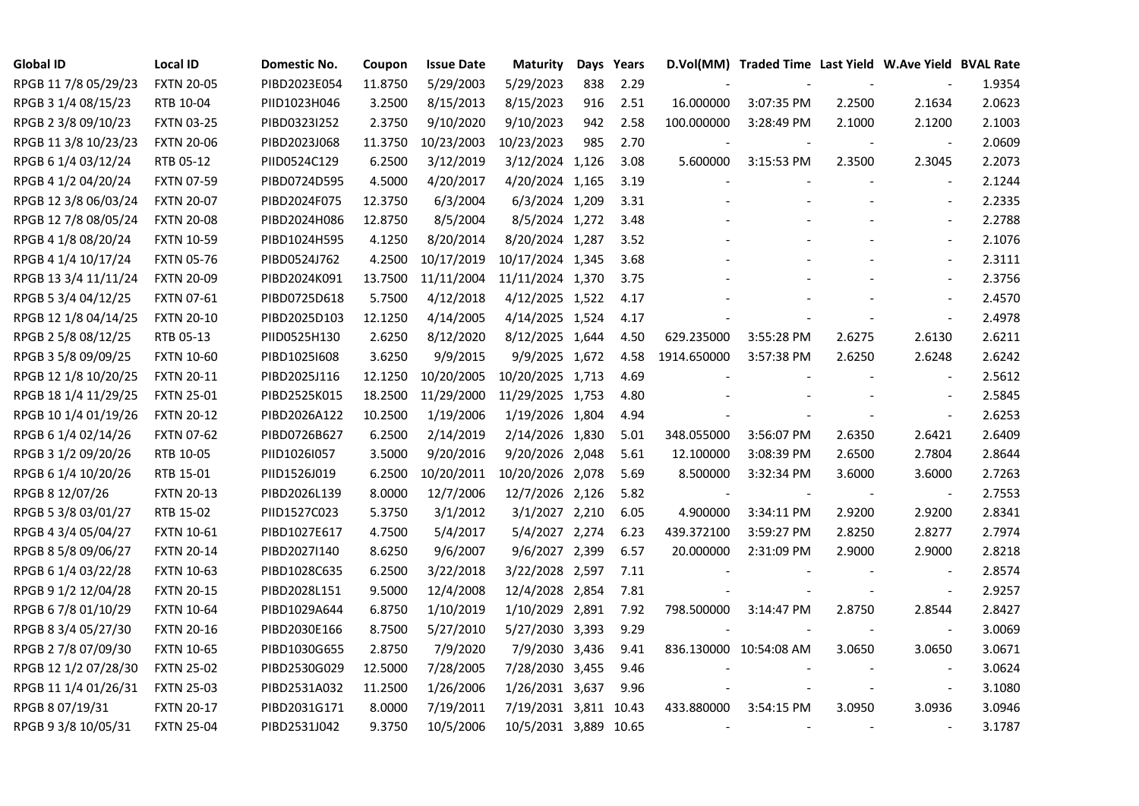| <b>Global ID</b>     | <b>Local ID</b>   | Domestic No. | Coupon  | <b>Issue Date</b> | <b>Maturity</b>       |     | Days Years |             | D.Vol(MM) Traded Time Last Yield W.Ave Yield BVAL Rate |        |                          |        |
|----------------------|-------------------|--------------|---------|-------------------|-----------------------|-----|------------|-------------|--------------------------------------------------------|--------|--------------------------|--------|
| RPGB 11 7/8 05/29/23 | <b>FXTN 20-05</b> | PIBD2023E054 | 11.8750 | 5/29/2003         | 5/29/2023             | 838 | 2.29       |             |                                                        |        |                          | 1.9354 |
| RPGB 3 1/4 08/15/23  | RTB 10-04         | PIID1023H046 | 3.2500  | 8/15/2013         | 8/15/2023             | 916 | 2.51       | 16.000000   | 3:07:35 PM                                             | 2.2500 | 2.1634                   | 2.0623 |
| RPGB 2 3/8 09/10/23  | <b>FXTN 03-25</b> | PIBD0323I252 | 2.3750  | 9/10/2020         | 9/10/2023             | 942 | 2.58       | 100.000000  | 3:28:49 PM                                             | 2.1000 | 2.1200                   | 2.1003 |
| RPGB 11 3/8 10/23/23 | <b>FXTN 20-06</b> | PIBD2023J068 | 11.3750 | 10/23/2003        | 10/23/2023            | 985 | 2.70       |             |                                                        |        | $\overline{\phantom{a}}$ | 2.0609 |
| RPGB 6 1/4 03/12/24  | RTB 05-12         | PIID0524C129 | 6.2500  | 3/12/2019         | 3/12/2024 1,126       |     | 3.08       | 5.600000    | 3:15:53 PM                                             | 2.3500 | 2.3045                   | 2.2073 |
| RPGB 4 1/2 04/20/24  | <b>FXTN 07-59</b> | PIBD0724D595 | 4.5000  | 4/20/2017         | 4/20/2024 1,165       |     | 3.19       |             |                                                        |        | $\blacksquare$           | 2.1244 |
| RPGB 12 3/8 06/03/24 | <b>FXTN 20-07</b> | PIBD2024F075 | 12.3750 | 6/3/2004          | 6/3/2024 1,209        |     | 3.31       |             |                                                        |        | $\overline{\phantom{a}}$ | 2.2335 |
| RPGB 12 7/8 08/05/24 | <b>FXTN 20-08</b> | PIBD2024H086 | 12.8750 | 8/5/2004          | 8/5/2024 1,272        |     | 3.48       |             |                                                        |        | $\overline{\phantom{a}}$ | 2.2788 |
| RPGB 4 1/8 08/20/24  | <b>FXTN 10-59</b> | PIBD1024H595 | 4.1250  | 8/20/2014         | 8/20/2024 1,287       |     | 3.52       |             |                                                        |        |                          | 2.1076 |
| RPGB 4 1/4 10/17/24  | <b>FXTN 05-76</b> | PIBD0524J762 | 4.2500  | 10/17/2019        | 10/17/2024 1,345      |     | 3.68       |             |                                                        |        | $\overline{\phantom{a}}$ | 2.3111 |
| RPGB 13 3/4 11/11/24 | <b>FXTN 20-09</b> | PIBD2024K091 | 13.7500 | 11/11/2004        | 11/11/2024 1,370      |     | 3.75       |             |                                                        |        | $\blacksquare$           | 2.3756 |
| RPGB 5 3/4 04/12/25  | <b>FXTN 07-61</b> | PIBD0725D618 | 5.7500  | 4/12/2018         | 4/12/2025 1,522       |     | 4.17       |             |                                                        |        | $\sim$                   | 2.4570 |
| RPGB 12 1/8 04/14/25 | <b>FXTN 20-10</b> | PIBD2025D103 | 12.1250 | 4/14/2005         | 4/14/2025 1,524       |     | 4.17       |             |                                                        |        | $\sim$                   | 2.4978 |
| RPGB 2 5/8 08/12/25  | RTB 05-13         | PIID0525H130 | 2.6250  | 8/12/2020         | 8/12/2025 1,644       |     | 4.50       | 629.235000  | 3:55:28 PM                                             | 2.6275 | 2.6130                   | 2.6211 |
| RPGB 3 5/8 09/09/25  | <b>FXTN 10-60</b> | PIBD10251608 | 3.6250  | 9/9/2015          | 9/9/2025 1,672        |     | 4.58       | 1914.650000 | 3:57:38 PM                                             | 2.6250 | 2.6248                   | 2.6242 |
| RPGB 12 1/8 10/20/25 | <b>FXTN 20-11</b> | PIBD2025J116 | 12.1250 | 10/20/2005        | 10/20/2025 1,713      |     | 4.69       |             |                                                        |        |                          | 2.5612 |
| RPGB 18 1/4 11/29/25 | <b>FXTN 25-01</b> | PIBD2525K015 | 18.2500 | 11/29/2000        | 11/29/2025 1,753      |     | 4.80       |             |                                                        |        | $\overline{\phantom{a}}$ | 2.5845 |
| RPGB 10 1/4 01/19/26 | <b>FXTN 20-12</b> | PIBD2026A122 | 10.2500 | 1/19/2006         | 1/19/2026 1,804       |     | 4.94       |             |                                                        |        | $\overline{\phantom{a}}$ | 2.6253 |
| RPGB 6 1/4 02/14/26  | <b>FXTN 07-62</b> | PIBD0726B627 | 6.2500  | 2/14/2019         | 2/14/2026 1,830       |     | 5.01       | 348.055000  | 3:56:07 PM                                             | 2.6350 | 2.6421                   | 2.6409 |
| RPGB 3 1/2 09/20/26  | RTB 10-05         | PIID1026I057 | 3.5000  | 9/20/2016         | 9/20/2026 2,048       |     | 5.61       | 12.100000   | 3:08:39 PM                                             | 2.6500 | 2.7804                   | 2.8644 |
| RPGB 6 1/4 10/20/26  | RTB 15-01         | PIID1526J019 | 6.2500  | 10/20/2011        | 10/20/2026 2,078      |     | 5.69       | 8.500000    | 3:32:34 PM                                             | 3.6000 | 3.6000                   | 2.7263 |
| RPGB 8 12/07/26      | <b>FXTN 20-13</b> | PIBD2026L139 | 8.0000  | 12/7/2006         | 12/7/2026 2,126       |     | 5.82       |             |                                                        |        | $\overline{\phantom{a}}$ | 2.7553 |
| RPGB 5 3/8 03/01/27  | RTB 15-02         | PIID1527C023 | 5.3750  | 3/1/2012          | 3/1/2027 2,210        |     | 6.05       | 4.900000    | 3:34:11 PM                                             | 2.9200 | 2.9200                   | 2.8341 |
| RPGB 4 3/4 05/04/27  | <b>FXTN 10-61</b> | PIBD1027E617 | 4.7500  | 5/4/2017          | 5/4/2027 2,274        |     | 6.23       | 439.372100  | 3:59:27 PM                                             | 2.8250 | 2.8277                   | 2.7974 |
| RPGB 8 5/8 09/06/27  | <b>FXTN 20-14</b> | PIBD2027I140 | 8.6250  | 9/6/2007          | 9/6/2027 2,399        |     | 6.57       | 20.000000   | 2:31:09 PM                                             | 2.9000 | 2.9000                   | 2.8218 |
| RPGB 6 1/4 03/22/28  | <b>FXTN 10-63</b> | PIBD1028C635 | 6.2500  | 3/22/2018         | 3/22/2028 2,597       |     | 7.11       |             |                                                        |        | $\sim$                   | 2.8574 |
| RPGB 9 1/2 12/04/28  | <b>FXTN 20-15</b> | PIBD2028L151 | 9.5000  | 12/4/2008         | 12/4/2028 2,854       |     | 7.81       |             |                                                        |        | $\sim$                   | 2.9257 |
| RPGB 67/8 01/10/29   | <b>FXTN 10-64</b> | PIBD1029A644 | 6.8750  | 1/10/2019         | 1/10/2029 2,891       |     | 7.92       | 798.500000  | 3:14:47 PM                                             | 2.8750 | 2.8544                   | 2.8427 |
| RPGB 8 3/4 05/27/30  | <b>FXTN 20-16</b> | PIBD2030E166 | 8.7500  | 5/27/2010         | 5/27/2030 3,393       |     | 9.29       |             |                                                        |        | $\blacksquare$           | 3.0069 |
| RPGB 2 7/8 07/09/30  | <b>FXTN 10-65</b> | PIBD1030G655 | 2.8750  | 7/9/2020          | 7/9/2030 3,436        |     | 9.41       |             | 836.130000 10:54:08 AM                                 | 3.0650 | 3.0650                   | 3.0671 |
| RPGB 12 1/2 07/28/30 | <b>FXTN 25-02</b> | PIBD2530G029 | 12.5000 | 7/28/2005         | 7/28/2030 3,455       |     | 9.46       |             |                                                        |        | $\overline{\phantom{a}}$ | 3.0624 |
| RPGB 11 1/4 01/26/31 | <b>FXTN 25-03</b> | PIBD2531A032 | 11.2500 | 1/26/2006         | 1/26/2031 3,637       |     | 9.96       |             |                                                        |        | $\overline{\phantom{a}}$ | 3.1080 |
| RPGB 8 07/19/31      | <b>FXTN 20-17</b> | PIBD2031G171 | 8.0000  | 7/19/2011         | 7/19/2031 3,811       |     | 10.43      | 433.880000  | 3:54:15 PM                                             | 3.0950 | 3.0936                   | 3.0946 |
| RPGB 9 3/8 10/05/31  | <b>FXTN 25-04</b> | PIBD2531J042 | 9.3750  | 10/5/2006         | 10/5/2031 3,889 10.65 |     |            |             |                                                        |        |                          | 3.1787 |